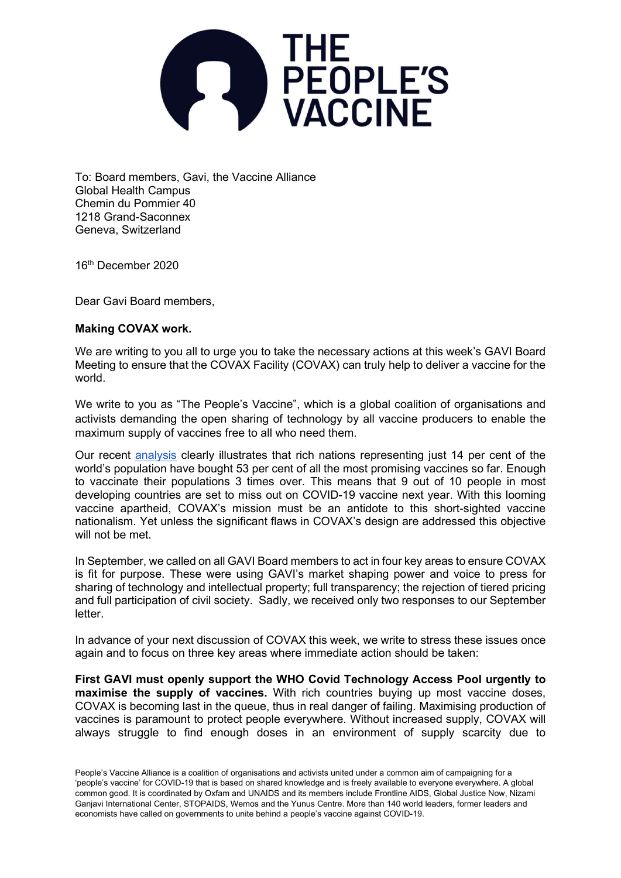

To: Board members, Gavi, the Vaccine Alliance Global Health Campus Chemin du Pommier 40 1218 Grand-Saconnex Geneva, Switzerland

16<sup>th</sup> December 2020

Dear Gavi Board members,

## Making COVAX work.

We are writing to you all to urge you to take the necessary actions at this week's GAVI Board Meeting to ensure that the COVAX Facility (COVAX) can truly help to deliver a vaccine for the world.

We write to you as "The People's Vaccine", which is a global coalition of organisations and activists demanding the open sharing of technology by all vaccine producers to enable the maximum supply of vaccines free to all who need them.

Our recent analysis clearly illustrates that rich nations representing just 14 per cent of the world's population have bought 53 per cent of all the most promising vaccines so far. Enough to vaccinate their populations 3 times over. This means that 9 out of 10 people in most developing countries are set to miss out on COVID-19 vaccine next year. With this looming vaccine apartheid, COVAX's mission must be an antidote to this short-sighted vaccine nationalism. Yet unless the significant flaws in COVAX's design are addressed this objective will not be met.

In September, we called on all GAVI Board members to act in four key areas to ensure COVAX is fit for purpose. These were using GAVI's market shaping power and voice to press for sharing of technology and intellectual property; full transparency; the rejection of tiered pricing and full participation of civil society. Sadly, we received only two responses to our September letter.

In advance of your next discussion of COVAX this week, we write to stress these issues once again and to focus on three key areas where immediate action should be taken:

First GAVI must openly support the WHO Covid Technology Access Pool urgently to maximise the supply of vaccines. With rich countries buying up most vaccine doses, COVAX is becoming last in the queue, thus in real danger of failing. Maximising production of vaccines is paramount to protect people everywhere. Without increased supply, COVAX will always struggle to find enough doses in an environment of supply scarcity due to

People's Vaccine Alliance is a coalition of organisations and activists united under a common aim of campaigning for a 'people's vaccine' for COVID-19 that is based on shared knowledge and is freely available to everyone everywhere. A global common good. It is coordinated by Oxfam and UNAIDS and its members include Frontline AIDS, Global Justice Now, Nizami Ganjavi International Center, STOPAIDS, Wemos and the Yunus Centre. More than 140 world leaders, former leaders and economists have called on governments to unite behind a people's vaccine against COVID-19.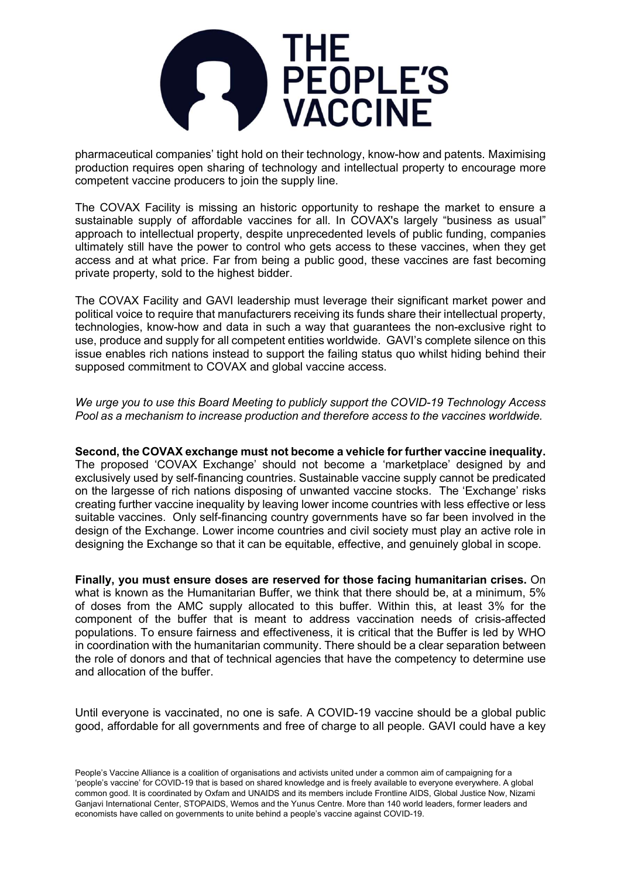

pharmaceutical companies' tight hold on their technology, know-how and patents. Maximising production requires open sharing of technology and intellectual property to encourage more competent vaccine producers to join the supply line.

The COVAX Facility is missing an historic opportunity to reshape the market to ensure a sustainable supply of affordable vaccines for all. In COVAX's largely "business as usual" approach to intellectual property, despite unprecedented levels of public funding, companies ultimately still have the power to control who gets access to these vaccines, when they get access and at what price. Far from being a public good, these vaccines are fast becoming private property, sold to the highest bidder.

The COVAX Facility and GAVI leadership must leverage their significant market power and political voice to require that manufacturers receiving its funds share their intellectual property, technologies, know-how and data in such a way that guarantees the non-exclusive right to use, produce and supply for all competent entities worldwide. GAVI's complete silence on this issue enables rich nations instead to support the failing status quo whilst hiding behind their supposed commitment to COVAX and global vaccine access.

We urge you to use this Board Meeting to publicly support the COVID-19 Technology Access Pool as a mechanism to increase production and therefore access to the vaccines worldwide.

## Second, the COVAX exchange must not become a vehicle for further vaccine inequality.

The proposed 'COVAX Exchange' should not become a 'marketplace' designed by and exclusively used by self-financing countries. Sustainable vaccine supply cannot be predicated on the largesse of rich nations disposing of unwanted vaccine stocks. The 'Exchange' risks creating further vaccine inequality by leaving lower income countries with less effective or less suitable vaccines. Only self-financing country governments have so far been involved in the design of the Exchange. Lower income countries and civil society must play an active role in designing the Exchange so that it can be equitable, effective, and genuinely global in scope.

Finally, you must ensure doses are reserved for those facing humanitarian crises. On what is known as the Humanitarian Buffer, we think that there should be, at a minimum, 5% of doses from the AMC supply allocated to this buffer. Within this, at least 3% for the component of the buffer that is meant to address vaccination needs of crisis-affected populations. To ensure fairness and effectiveness, it is critical that the Buffer is led by WHO in coordination with the humanitarian community. There should be a clear separation between the role of donors and that of technical agencies that have the competency to determine use and allocation of the buffer.

Until everyone is vaccinated, no one is safe. A COVID-19 vaccine should be a global public good, affordable for all governments and free of charge to all people. GAVI could have a key

People's Vaccine Alliance is a coalition of organisations and activists united under a common aim of campaigning for a 'people's vaccine' for COVID-19 that is based on shared knowledge and is freely available to everyone everywhere. A global common good. It is coordinated by Oxfam and UNAIDS and its members include Frontline AIDS, Global Justice Now, Nizami Ganjavi International Center, STOPAIDS, Wemos and the Yunus Centre. More than 140 world leaders, former leaders and economists have called on governments to unite behind a people's vaccine against COVID-19.